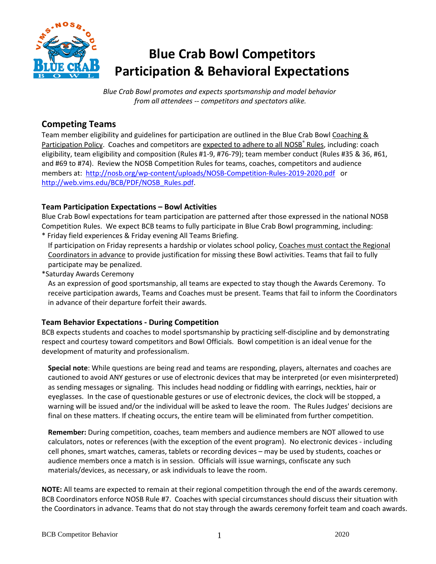

# **Blue Crab Bowl Competitors Participation & Behavioral Expectations**

*Blue Crab Bowl promotes and expects sportsmanship and model behavior from all attendees -- competitors and spectators alike.*

## **Competing Teams**

Team member eligibility and guidelines for participation are outlined in the Blue Crab Bowl Coaching & Participation Policy. Coaches and competitors are expected to adhere to all NOSB<sup>®</sup> Rules, including: coach eligibility, team eligibility and composition (Rules #1-9, #76-79); team member conduct (Rules #35 & 36, #61, and #69 to #74). Review the NOSB Competition Rules for teams, coaches, competitors and audience members at: <http://nosb.org/wp-content/uploads/NOSB-Competition-Rules-2019-2020.pdf>or [http://web.vims.edu/BCB/PDF/NOSB\\_Rules.pdf.](http://web.vims.edu/BCB/PDF/NOSB_Rules.pdf)

## **Team Participation Expectations – Bowl Activities**

Blue Crab Bowl expectations for team participation are patterned after those expressed in the national NOSB Competition Rules. We expect BCB teams to fully participate in Blue Crab Bowl programming, including: \* Friday field experiences & Friday evening All Teams Briefing.

If participation on Friday represents a hardship or violates school policy, Coaches must contact the Regional Coordinators in advance to provide justification for missing these Bowl activities. Teams that fail to fully participate may be penalized.

\*Saturday Awards Ceremony

As an expression of good sportsmanship, all teams are expected to stay though the Awards Ceremony. To receive participation awards, Teams and Coaches must be present. Teams that fail to inform the Coordinators in advance of their departure forfeit their awards.

## **Team Behavior Expectations - During Competition**

BCB expects students and coaches to model sportsmanship by practicing self-discipline and by demonstrating respect and courtesy toward competitors and Bowl Officials. Bowl competition is an ideal venue for the development of maturity and professionalism.

**Special note**: While questions are being read and teams are responding, players, alternates and coaches are cautioned to avoid ANY gestures or use of electronic devices that may be interpreted (or even misinterpreted) as sending messages or signaling. This includes head nodding or fiddling with earrings, neckties, hair or eyeglasses. In the case of questionable gestures or use of electronic devices, the clock will be stopped, a warning will be issued and/or the individual will be asked to leave the room. The Rules Judges' decisions are final on these matters. If cheating occurs, the entire team will be eliminated from further competition.

**Remember:** During competition, coaches, team members and audience members are NOT allowed to use calculators, notes or references (with the exception of the event program). No electronic devices - including cell phones, smart watches, cameras, tablets or recording devices – may be used by students, coaches or audience members once a match is in session. Officials will issue warnings, confiscate any such materials/devices, as necessary, or ask individuals to leave the room.

**NOTE:** All teams are expected to remain at their regional competition through the end of the awards ceremony. BCB Coordinators enforce NOSB Rule #7. Coaches with special circumstances should discuss their situation with the Coordinators in advance. Teams that do not stay through the awards ceremony forfeit team and coach awards.